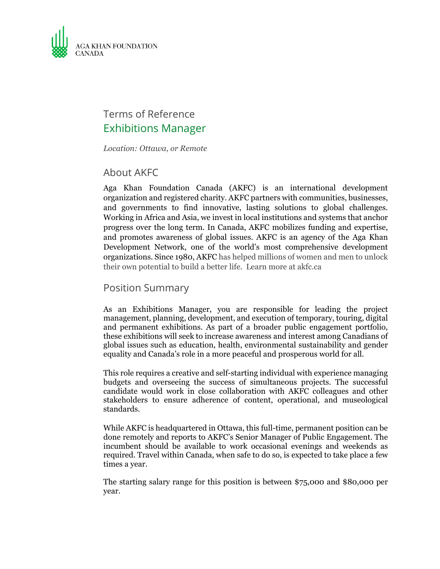

# Terms of Reference Exhibitions Manager

*Location: Ottawa, or Remote*

#### About AKFC

Aga Khan Foundation Canada (AKFC) is an international development organization and registered charity. AKFC partners with communities, businesses, and governments to find innovative, lasting solutions to global challenges. Working in Africa and Asia, we invest in local institutions and systems that anchor progress over the long term. In Canada, AKFC mobilizes funding and expertise, and promotes awareness of global issues. AKFC is an agency of the Aga Khan Development Network, one of the world's most comprehensive development organizations. Since 1980, AKFC has helped millions of women and men to unlock their own potential to build a better life. Learn more at akfc.ca

#### Position Summary

As an Exhibitions Manager, you are responsible for leading the project management, planning, development, and execution of temporary, touring, digital and permanent exhibitions. As part of a broader public engagement portfolio, these exhibitions will seek to increase awareness and interest among Canadians of global issues such as education, health, environmental sustainability and gender equality and Canada's role in a more peaceful and prosperous world for all.

This role requires a creative and self-starting individual with experience managing budgets and overseeing the success of simultaneous projects. The successful candidate would work in close collaboration with AKFC colleagues and other stakeholders to ensure adherence of content, operational, and museological standards.

While AKFC is headquartered in Ottawa, this full-time, permanent position can be done remotely and reports to AKFC's Senior Manager of Public Engagement. The incumbent should be available to work occasional evenings and weekends as required. Travel within Canada, when safe to do so, is expected to take place a few times a year.

The starting salary range for this position is between \$75,000 and \$80,000 per year.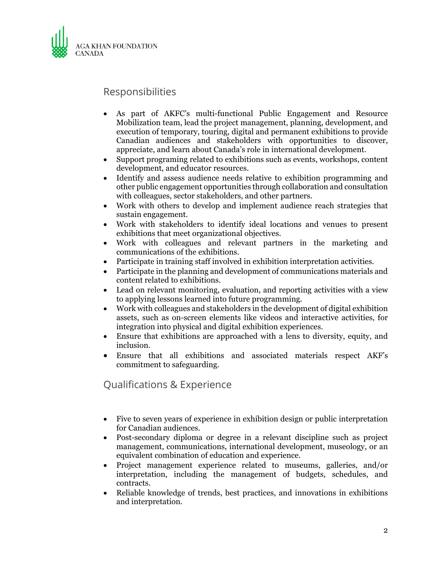

### Responsibilities

- As part of AKFC's multi-functional Public Engagement and Resource Mobilization team, lead the project management, planning, development, and execution of temporary, touring, digital and permanent exhibitions to provide Canadian audiences and stakeholders with opportunities to discover, appreciate, and learn about Canada's role in international development.
- Support programing related to exhibitions such as events, workshops, content development, and educator resources.
- Identify and assess audience needs relative to exhibition programming and other public engagement opportunities through collaboration and consultation with colleagues, sector stakeholders, and other partners.
- Work with others to develop and implement audience reach strategies that sustain engagement.
- Work with stakeholders to identify ideal locations and venues to present exhibitions that meet organizational objectives.
- Work with colleagues and relevant partners in the marketing and communications of the exhibitions.
- Participate in training staff involved in exhibition interpretation activities.
- Participate in the planning and development of communications materials and content related to exhibitions.
- Lead on relevant monitoring, evaluation, and reporting activities with a view to applying lessons learned into future programming.
- Work with colleagues and stakeholders in the development of digital exhibition assets, such as on-screen elements like videos and interactive activities, for integration into physical and digital exhibition experiences.
- Ensure that exhibitions are approached with a lens to diversity, equity, and inclusion.
- Ensure that all exhibitions and associated materials respect AKF's commitment to safeguarding.

Qualifications & Experience

- Five to seven years of experience in exhibition design or public interpretation for Canadian audiences.
- Post-secondary diploma or degree in a relevant discipline such as project management, communications, international development, museology, or an equivalent combination of education and experience.
- Project management experience related to museums, galleries, and/or interpretation, including the management of budgets, schedules, and contracts.
- Reliable knowledge of trends, best practices, and innovations in exhibitions and interpretation.